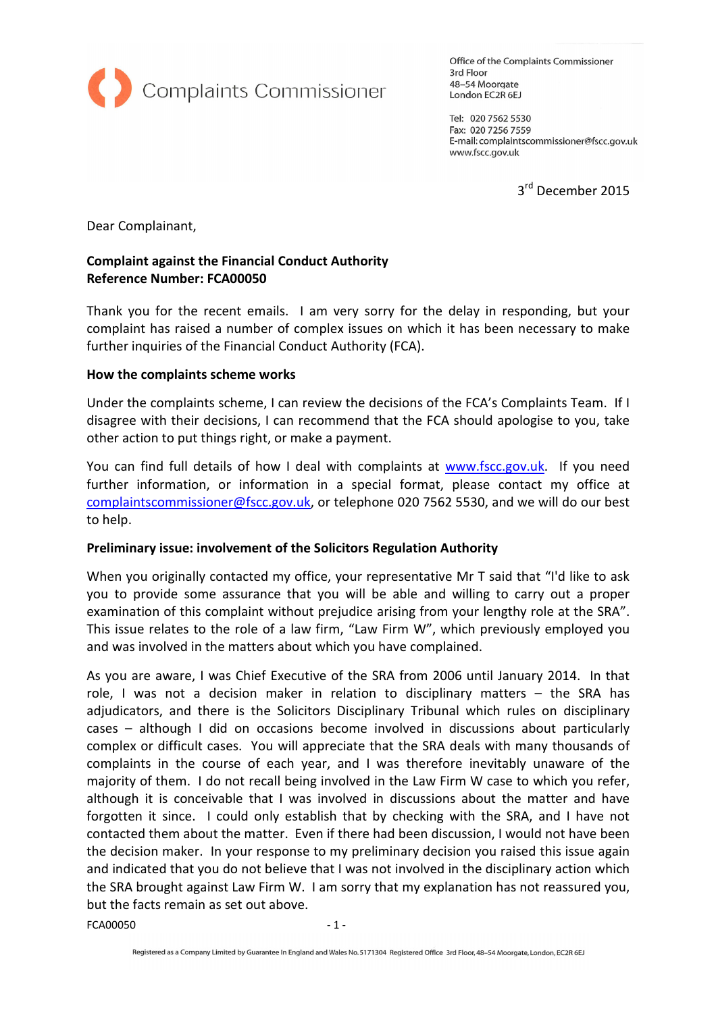

Office of the Complaints Commissioner 3rd Floor 48-54 Moorgate London EC2R 6EJ

Tel: 020 7562 5530 Fax: 020 7256 7559 E-mail: complaintscommissioner@fscc.gov.uk www.fscc.gov.uk

3<sup>rd</sup> December 2015

Dear Complainant,

### Complaint against the Financial Conduct Authority Reference Number: FCA00050

Thank you for the recent emails. I am very sorry for the delay in responding, but your complaint has raised a number of complex issues on which it has been necessary to make further inquiries of the Financial Conduct Authority (FCA).

#### How the complaints scheme works

Under the complaints scheme, I can review the decisions of the FCA's Complaints Team. If I disagree with their decisions, I can recommend that the FCA should apologise to you, take other action to put things right, or make a payment.

You can find full details of how I deal with complaints at www.fscc.gov.uk. If you need further information, or information in a special format, please contact my office at complaintscommissioner@fscc.gov.uk, or telephone 020 7562 5530, and we will do our best to help.

### Preliminary issue: involvement of the Solicitors Regulation Authority

When you originally contacted my office, your representative Mr T said that "I'd like to ask you to provide some assurance that you will be able and willing to carry out a proper examination of this complaint without prejudice arising from your lengthy role at the SRA". This issue relates to the role of a law firm, "Law Firm W", which previously employed you and was involved in the matters about which you have complained.

As you are aware, I was Chief Executive of the SRA from 2006 until January 2014. In that role, I was not a decision maker in relation to disciplinary matters – the SRA has adjudicators, and there is the Solicitors Disciplinary Tribunal which rules on disciplinary cases – although I did on occasions become involved in discussions about particularly complex or difficult cases. You will appreciate that the SRA deals with many thousands of complaints in the course of each year, and I was therefore inevitably unaware of the majority of them. I do not recall being involved in the Law Firm W case to which you refer, although it is conceivable that I was involved in discussions about the matter and have forgotten it since. I could only establish that by checking with the SRA, and I have not contacted them about the matter. Even if there had been discussion, I would not have been the decision maker. In your response to my preliminary decision you raised this issue again and indicated that you do not believe that I was not involved in the disciplinary action which the SRA brought against Law Firm W. I am sorry that my explanation has not reassured you, but the facts remain as set out above.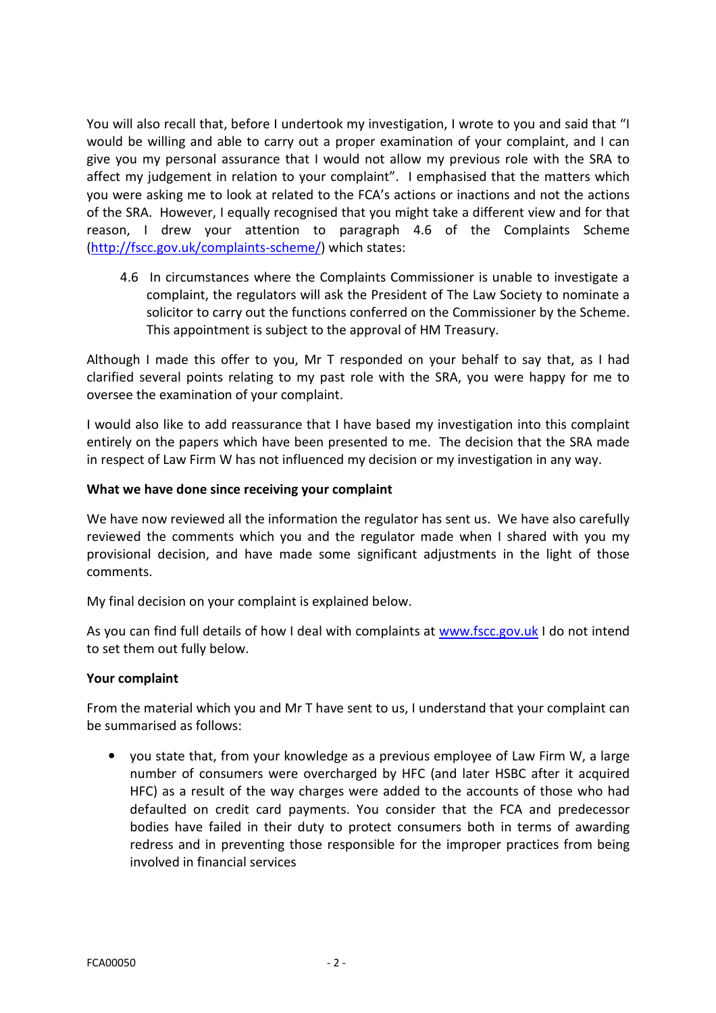You will also recall that, before I undertook my investigation, I wrote to you and said that "I would be willing and able to carry out a proper examination of your complaint, and I can give you my personal assurance that I would not allow my previous role with the SRA to affect my judgement in relation to your complaint". I emphasised that the matters which you were asking me to look at related to the FCA's actions or inactions and not the actions of the SRA. However, I equally recognised that you might take a different view and for that reason, I drew your attention to paragraph 4.6 of the Complaints Scheme (http://fscc.gov.uk/complaints-scheme/) which states:

4.6 In circumstances where the Complaints Commissioner is unable to investigate a complaint, the regulators will ask the President of The Law Society to nominate a solicitor to carry out the functions conferred on the Commissioner by the Scheme. This appointment is subject to the approval of HM Treasury.

Although I made this offer to you, Mr T responded on your behalf to say that, as I had clarified several points relating to my past role with the SRA, you were happy for me to oversee the examination of your complaint.

I would also like to add reassurance that I have based my investigation into this complaint entirely on the papers which have been presented to me. The decision that the SRA made in respect of Law Firm W has not influenced my decision or my investigation in any way.

### What we have done since receiving your complaint

We have now reviewed all the information the regulator has sent us. We have also carefully reviewed the comments which you and the regulator made when I shared with you my provisional decision, and have made some significant adjustments in the light of those comments.

My final decision on your complaint is explained below.

As you can find full details of how I deal with complaints at www.fscc.gov.uk I do not intend to set them out fully below.

### Your complaint

From the material which you and Mr T have sent to us, I understand that your complaint can be summarised as follows:

• you state that, from your knowledge as a previous employee of Law Firm W, a large number of consumers were overcharged by HFC (and later HSBC after it acquired HFC) as a result of the way charges were added to the accounts of those who had defaulted on credit card payments. You consider that the FCA and predecessor bodies have failed in their duty to protect consumers both in terms of awarding redress and in preventing those responsible for the improper practices from being involved in financial services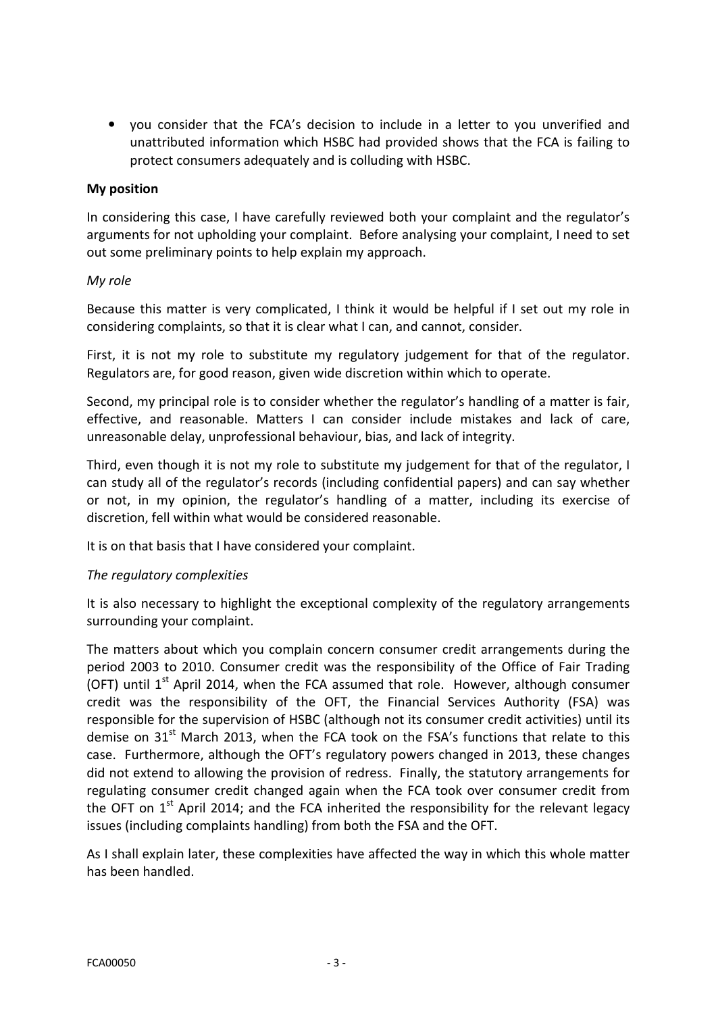• you consider that the FCA's decision to include in a letter to you unverified and unattributed information which HSBC had provided shows that the FCA is failing to protect consumers adequately and is colluding with HSBC.

### My position

In considering this case, I have carefully reviewed both your complaint and the regulator's arguments for not upholding your complaint. Before analysing your complaint, I need to set out some preliminary points to help explain my approach.

### My role

Because this matter is very complicated, I think it would be helpful if I set out my role in considering complaints, so that it is clear what I can, and cannot, consider.

First, it is not my role to substitute my regulatory judgement for that of the regulator. Regulators are, for good reason, given wide discretion within which to operate.

Second, my principal role is to consider whether the regulator's handling of a matter is fair, effective, and reasonable. Matters I can consider include mistakes and lack of care, unreasonable delay, unprofessional behaviour, bias, and lack of integrity.

Third, even though it is not my role to substitute my judgement for that of the regulator, I can study all of the regulator's records (including confidential papers) and can say whether or not, in my opinion, the regulator's handling of a matter, including its exercise of discretion, fell within what would be considered reasonable.

It is on that basis that I have considered your complaint.

### The regulatory complexities

It is also necessary to highlight the exceptional complexity of the regulatory arrangements surrounding your complaint.

The matters about which you complain concern consumer credit arrangements during the period 2003 to 2010. Consumer credit was the responsibility of the Office of Fair Trading (OFT) until  $1<sup>st</sup>$  April 2014, when the FCA assumed that role. However, although consumer credit was the responsibility of the OFT, the Financial Services Authority (FSA) was responsible for the supervision of HSBC (although not its consumer credit activities) until its demise on  $31<sup>st</sup>$  March 2013, when the FCA took on the FSA's functions that relate to this case. Furthermore, although the OFT's regulatory powers changed in 2013, these changes did not extend to allowing the provision of redress. Finally, the statutory arrangements for regulating consumer credit changed again when the FCA took over consumer credit from the OFT on  $1<sup>st</sup>$  April 2014; and the FCA inherited the responsibility for the relevant legacy issues (including complaints handling) from both the FSA and the OFT.

As I shall explain later, these complexities have affected the way in which this whole matter has been handled.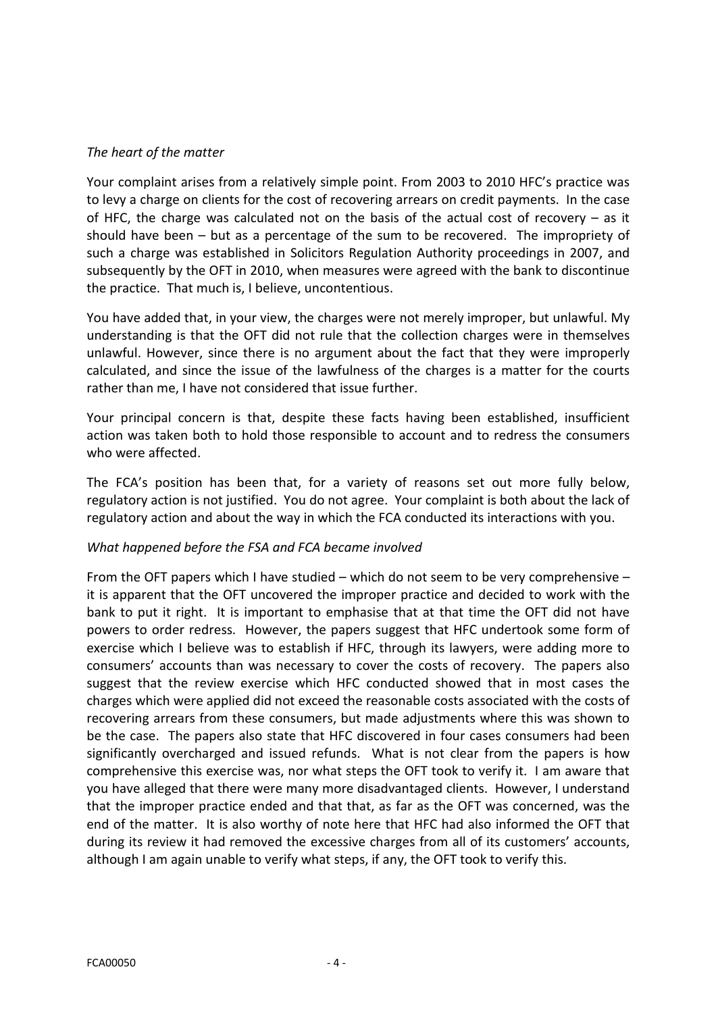## The heart of the matter

Your complaint arises from a relatively simple point. From 2003 to 2010 HFC's practice was to levy a charge on clients for the cost of recovering arrears on credit payments. In the case of HFC, the charge was calculated not on the basis of the actual cost of recovery – as it should have been – but as a percentage of the sum to be recovered. The impropriety of such a charge was established in Solicitors Regulation Authority proceedings in 2007, and subsequently by the OFT in 2010, when measures were agreed with the bank to discontinue the practice. That much is, I believe, uncontentious.

You have added that, in your view, the charges were not merely improper, but unlawful. My understanding is that the OFT did not rule that the collection charges were in themselves unlawful. However, since there is no argument about the fact that they were improperly calculated, and since the issue of the lawfulness of the charges is a matter for the courts rather than me, I have not considered that issue further.

Your principal concern is that, despite these facts having been established, insufficient action was taken both to hold those responsible to account and to redress the consumers who were affected.

The FCA's position has been that, for a variety of reasons set out more fully below, regulatory action is not justified. You do not agree. Your complaint is both about the lack of regulatory action and about the way in which the FCA conducted its interactions with you.

### What happened before the FSA and FCA became involved

From the OFT papers which I have studied – which do not seem to be very comprehensive – it is apparent that the OFT uncovered the improper practice and decided to work with the bank to put it right. It is important to emphasise that at that time the OFT did not have powers to order redress. However, the papers suggest that HFC undertook some form of exercise which I believe was to establish if HFC, through its lawyers, were adding more to consumers' accounts than was necessary to cover the costs of recovery. The papers also suggest that the review exercise which HFC conducted showed that in most cases the charges which were applied did not exceed the reasonable costs associated with the costs of recovering arrears from these consumers, but made adjustments where this was shown to be the case. The papers also state that HFC discovered in four cases consumers had been significantly overcharged and issued refunds. What is not clear from the papers is how comprehensive this exercise was, nor what steps the OFT took to verify it. I am aware that you have alleged that there were many more disadvantaged clients. However, I understand that the improper practice ended and that that, as far as the OFT was concerned, was the end of the matter. It is also worthy of note here that HFC had also informed the OFT that during its review it had removed the excessive charges from all of its customers' accounts, although I am again unable to verify what steps, if any, the OFT took to verify this.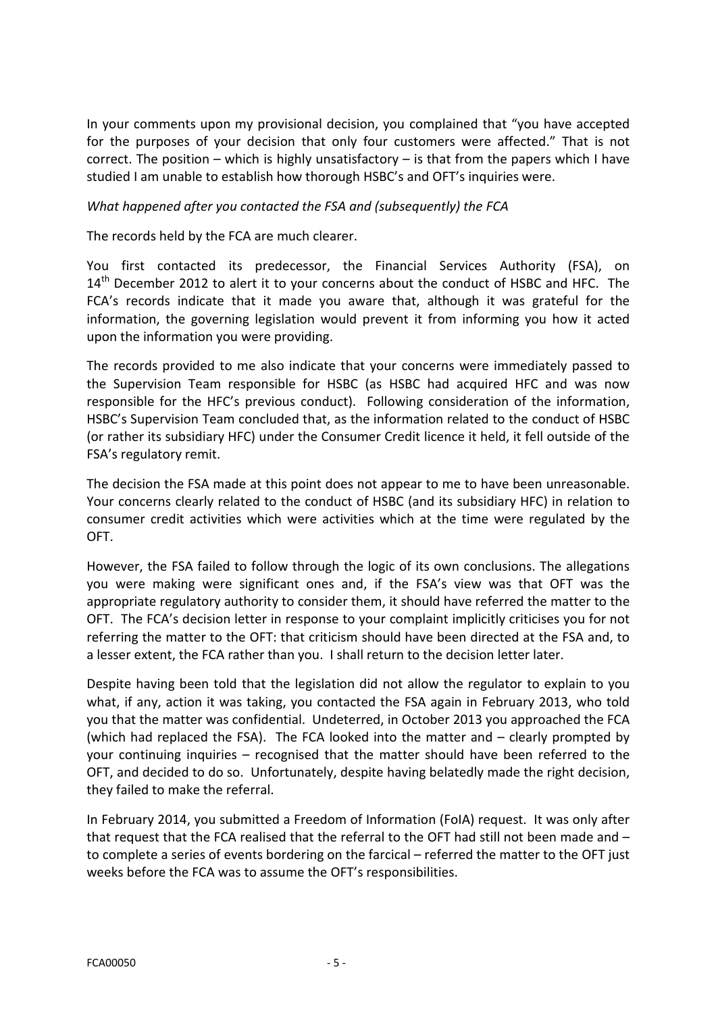In your comments upon my provisional decision, you complained that "you have accepted for the purposes of your decision that only four customers were affected." That is not correct. The position – which is highly unsatisfactory – is that from the papers which I have studied I am unable to establish how thorough HSBC's and OFT's inquiries were.

### What happened after you contacted the FSA and (subsequently) the FCA

The records held by the FCA are much clearer.

You first contacted its predecessor, the Financial Services Authority (FSA), on 14<sup>th</sup> December 2012 to alert it to your concerns about the conduct of HSBC and HFC. The FCA's records indicate that it made you aware that, although it was grateful for the information, the governing legislation would prevent it from informing you how it acted upon the information you were providing.

The records provided to me also indicate that your concerns were immediately passed to the Supervision Team responsible for HSBC (as HSBC had acquired HFC and was now responsible for the HFC's previous conduct). Following consideration of the information, HSBC's Supervision Team concluded that, as the information related to the conduct of HSBC (or rather its subsidiary HFC) under the Consumer Credit licence it held, it fell outside of the FSA's regulatory remit.

The decision the FSA made at this point does not appear to me to have been unreasonable. Your concerns clearly related to the conduct of HSBC (and its subsidiary HFC) in relation to consumer credit activities which were activities which at the time were regulated by the OFT.

However, the FSA failed to follow through the logic of its own conclusions. The allegations you were making were significant ones and, if the FSA's view was that OFT was the appropriate regulatory authority to consider them, it should have referred the matter to the OFT. The FCA's decision letter in response to your complaint implicitly criticises you for not referring the matter to the OFT: that criticism should have been directed at the FSA and, to a lesser extent, the FCA rather than you. I shall return to the decision letter later.

Despite having been told that the legislation did not allow the regulator to explain to you what, if any, action it was taking, you contacted the FSA again in February 2013, who told you that the matter was confidential. Undeterred, in October 2013 you approached the FCA (which had replaced the FSA). The FCA looked into the matter and – clearly prompted by your continuing inquiries – recognised that the matter should have been referred to the OFT, and decided to do so. Unfortunately, despite having belatedly made the right decision, they failed to make the referral.

In February 2014, you submitted a Freedom of Information (FoIA) request. It was only after that request that the FCA realised that the referral to the OFT had still not been made and – to complete a series of events bordering on the farcical – referred the matter to the OFT just weeks before the FCA was to assume the OFT's responsibilities.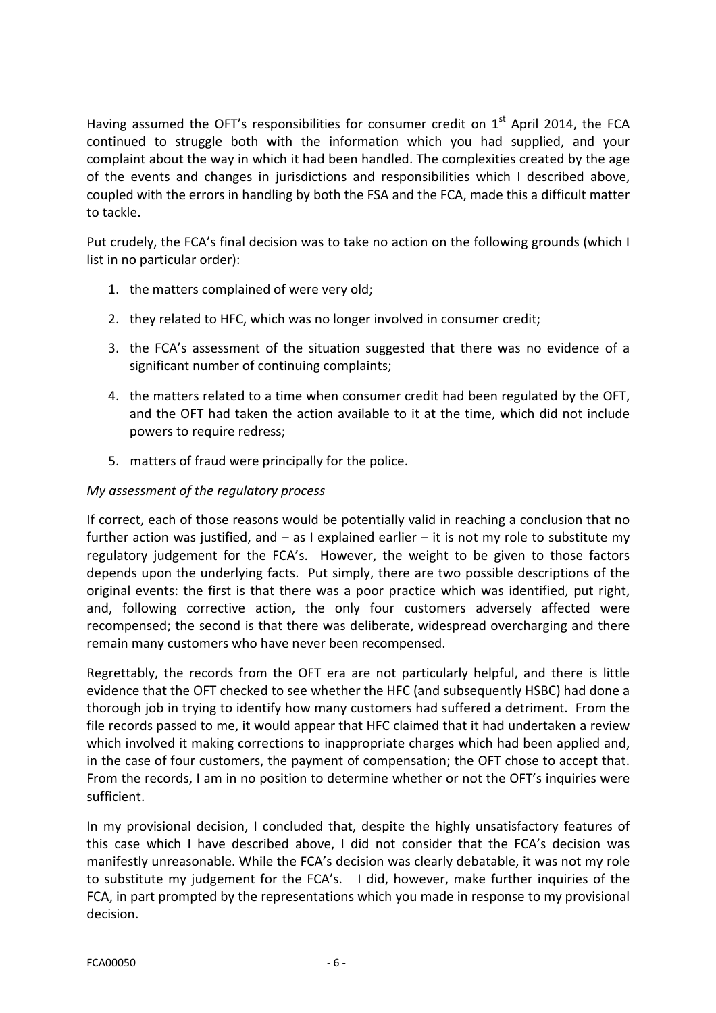Having assumed the OFT's responsibilities for consumer credit on  $1<sup>st</sup>$  April 2014, the FCA continued to struggle both with the information which you had supplied, and your complaint about the way in which it had been handled. The complexities created by the age of the events and changes in jurisdictions and responsibilities which I described above, coupled with the errors in handling by both the FSA and the FCA, made this a difficult matter to tackle.

Put crudely, the FCA's final decision was to take no action on the following grounds (which I list in no particular order):

- 1. the matters complained of were very old;
- 2. they related to HFC, which was no longer involved in consumer credit;
- 3. the FCA's assessment of the situation suggested that there was no evidence of a significant number of continuing complaints;
- 4. the matters related to a time when consumer credit had been regulated by the OFT, and the OFT had taken the action available to it at the time, which did not include powers to require redress;
- 5. matters of fraud were principally for the police.

# My assessment of the regulatory process

If correct, each of those reasons would be potentially valid in reaching a conclusion that no further action was justified, and  $-$  as I explained earlier  $-$  it is not my role to substitute my regulatory judgement for the FCA's. However, the weight to be given to those factors depends upon the underlying facts. Put simply, there are two possible descriptions of the original events: the first is that there was a poor practice which was identified, put right, and, following corrective action, the only four customers adversely affected were recompensed; the second is that there was deliberate, widespread overcharging and there remain many customers who have never been recompensed.

Regrettably, the records from the OFT era are not particularly helpful, and there is little evidence that the OFT checked to see whether the HFC (and subsequently HSBC) had done a thorough job in trying to identify how many customers had suffered a detriment. From the file records passed to me, it would appear that HFC claimed that it had undertaken a review which involved it making corrections to inappropriate charges which had been applied and, in the case of four customers, the payment of compensation; the OFT chose to accept that. From the records, I am in no position to determine whether or not the OFT's inquiries were sufficient.

In my provisional decision, I concluded that, despite the highly unsatisfactory features of this case which I have described above, I did not consider that the FCA's decision was manifestly unreasonable. While the FCA's decision was clearly debatable, it was not my role to substitute my judgement for the FCA's. I did, however, make further inquiries of the FCA, in part prompted by the representations which you made in response to my provisional decision.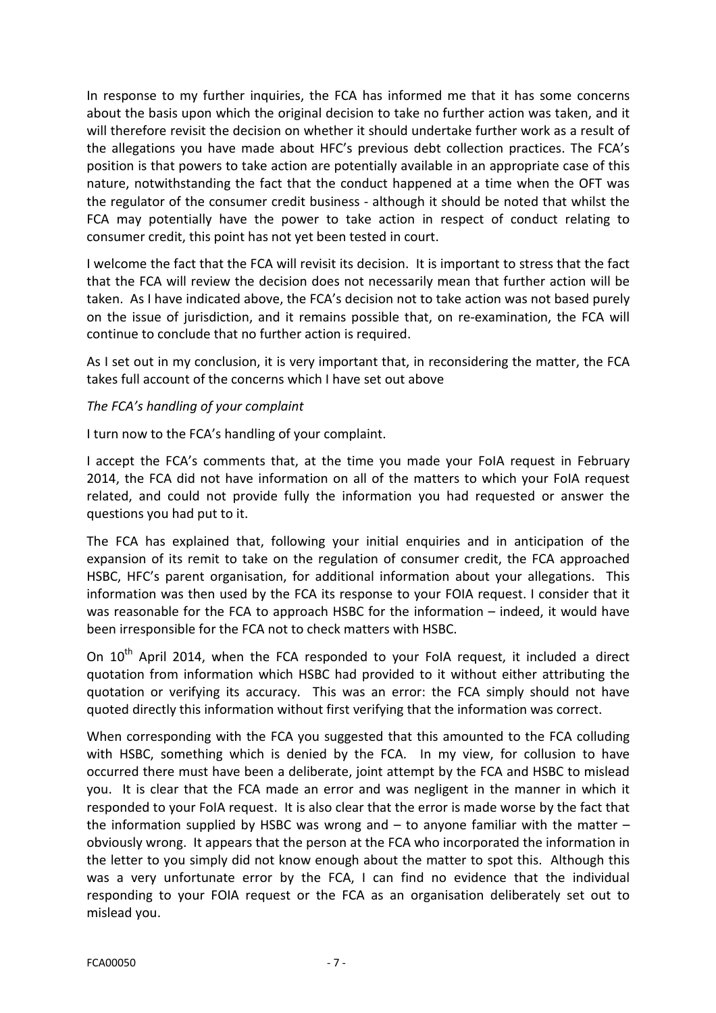In response to my further inquiries, the FCA has informed me that it has some concerns about the basis upon which the original decision to take no further action was taken, and it will therefore revisit the decision on whether it should undertake further work as a result of the allegations you have made about HFC's previous debt collection practices. The FCA's position is that powers to take action are potentially available in an appropriate case of this nature, notwithstanding the fact that the conduct happened at a time when the OFT was the regulator of the consumer credit business - although it should be noted that whilst the FCA may potentially have the power to take action in respect of conduct relating to consumer credit, this point has not yet been tested in court.

I welcome the fact that the FCA will revisit its decision. It is important to stress that the fact that the FCA will review the decision does not necessarily mean that further action will be taken. As I have indicated above, the FCA's decision not to take action was not based purely on the issue of jurisdiction, and it remains possible that, on re-examination, the FCA will continue to conclude that no further action is required.

As I set out in my conclusion, it is very important that, in reconsidering the matter, the FCA takes full account of the concerns which I have set out above

# The FCA's handling of your complaint

I turn now to the FCA's handling of your complaint.

I accept the FCA's comments that, at the time you made your FoIA request in February 2014, the FCA did not have information on all of the matters to which your FoIA request related, and could not provide fully the information you had requested or answer the questions you had put to it.

The FCA has explained that, following your initial enquiries and in anticipation of the expansion of its remit to take on the regulation of consumer credit, the FCA approached HSBC, HFC's parent organisation, for additional information about your allegations. This information was then used by the FCA its response to your FOIA request. I consider that it was reasonable for the FCA to approach HSBC for the information – indeed, it would have been irresponsible for the FCA not to check matters with HSBC.

On  $10<sup>th</sup>$  April 2014, when the FCA responded to your FoIA request, it included a direct quotation from information which HSBC had provided to it without either attributing the quotation or verifying its accuracy. This was an error: the FCA simply should not have quoted directly this information without first verifying that the information was correct.

When corresponding with the FCA you suggested that this amounted to the FCA colluding with HSBC, something which is denied by the FCA. In my view, for collusion to have occurred there must have been a deliberate, joint attempt by the FCA and HSBC to mislead you. It is clear that the FCA made an error and was negligent in the manner in which it responded to your FoIA request. It is also clear that the error is made worse by the fact that the information supplied by HSBC was wrong and  $-$  to anyone familiar with the matter  $$ obviously wrong. It appears that the person at the FCA who incorporated the information in the letter to you simply did not know enough about the matter to spot this. Although this was a very unfortunate error by the FCA, I can find no evidence that the individual responding to your FOIA request or the FCA as an organisation deliberately set out to mislead you.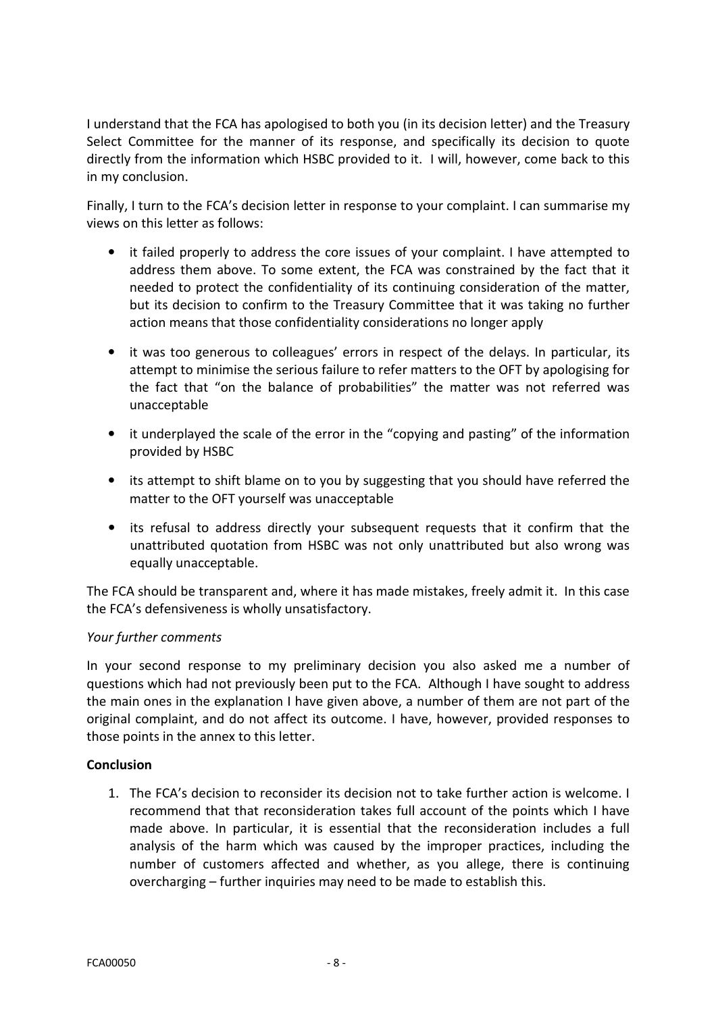I understand that the FCA has apologised to both you (in its decision letter) and the Treasury Select Committee for the manner of its response, and specifically its decision to quote directly from the information which HSBC provided to it. I will, however, come back to this in my conclusion.

Finally, I turn to the FCA's decision letter in response to your complaint. I can summarise my views on this letter as follows:

- it failed properly to address the core issues of your complaint. I have attempted to address them above. To some extent, the FCA was constrained by the fact that it needed to protect the confidentiality of its continuing consideration of the matter, but its decision to confirm to the Treasury Committee that it was taking no further action means that those confidentiality considerations no longer apply
- it was too generous to colleagues' errors in respect of the delays. In particular, its attempt to minimise the serious failure to refer matters to the OFT by apologising for the fact that "on the balance of probabilities" the matter was not referred was unacceptable
- it underplayed the scale of the error in the "copying and pasting" of the information provided by HSBC
- its attempt to shift blame on to you by suggesting that you should have referred the matter to the OFT yourself was unacceptable
- its refusal to address directly your subsequent requests that it confirm that the unattributed quotation from HSBC was not only unattributed but also wrong was equally unacceptable.

The FCA should be transparent and, where it has made mistakes, freely admit it. In this case the FCA's defensiveness is wholly unsatisfactory.

# Your further comments

In your second response to my preliminary decision you also asked me a number of questions which had not previously been put to the FCA. Although I have sought to address the main ones in the explanation I have given above, a number of them are not part of the original complaint, and do not affect its outcome. I have, however, provided responses to those points in the annex to this letter.

### Conclusion

1. The FCA's decision to reconsider its decision not to take further action is welcome. I recommend that that reconsideration takes full account of the points which I have made above. In particular, it is essential that the reconsideration includes a full analysis of the harm which was caused by the improper practices, including the number of customers affected and whether, as you allege, there is continuing overcharging – further inquiries may need to be made to establish this.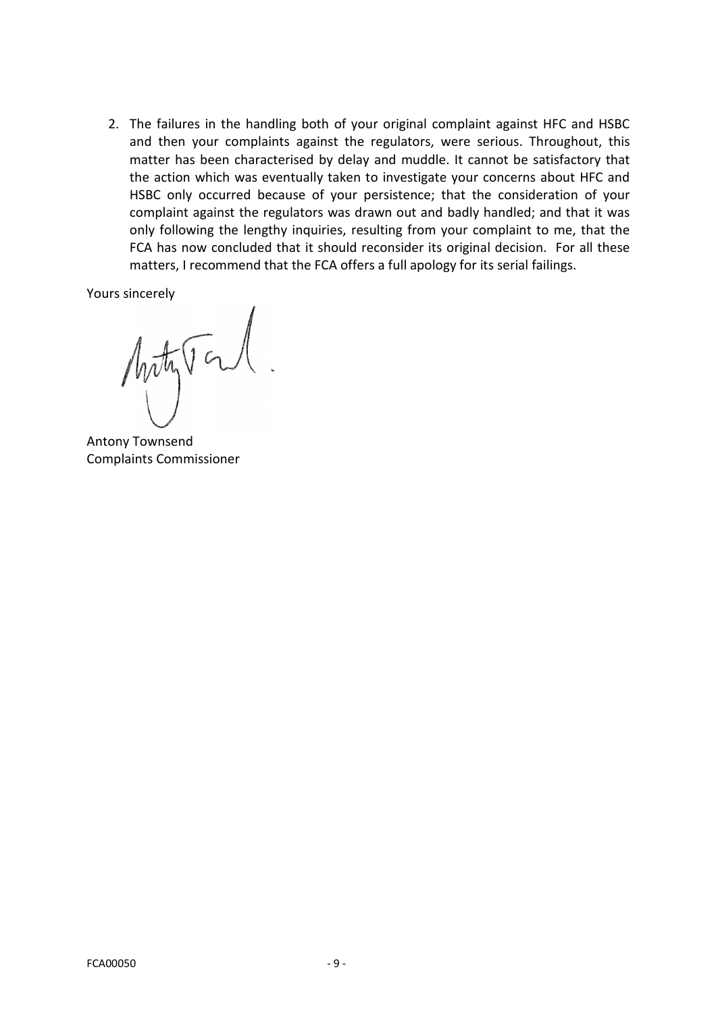2. The failures in the handling both of your original complaint against HFC and HSBC and then your complaints against the regulators, were serious. Throughout, this matter has been characterised by delay and muddle. It cannot be satisfactory that the action which was eventually taken to investigate your concerns about HFC and HSBC only occurred because of your persistence; that the consideration of your complaint against the regulators was drawn out and badly handled; and that it was only following the lengthy inquiries, resulting from your complaint to me, that the FCA has now concluded that it should reconsider its original decision. For all these matters, I recommend that the FCA offers a full apology for its serial failings.

Yours sincerely

Motyton.

Antony Townsend Complaints Commissioner